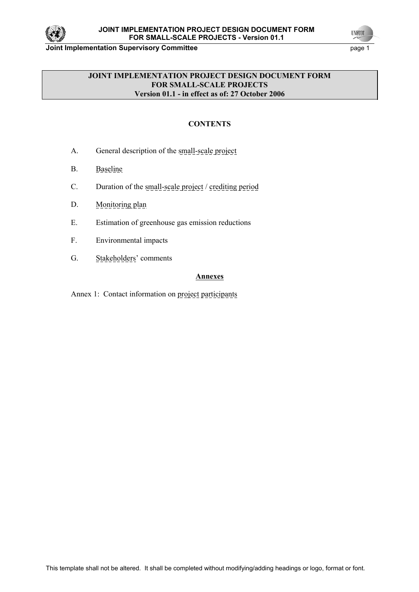

**UNFOOL** 

### **JOINT IMPLEMENTATION PROJECT DESIGN DOCUMENT FORM FOR SMALL-SCALE PROJECTS Version 01.1 - in effect as of: 27 October 2006**

# **CONTENTS**

- A. General description of the small-scale project
- B. Baseline
- C. Duration of the small-scale project / crediting period
- D. Monitoring plan
- E. Estimation of greenhouse gas emission reductions
- F. Environmental impacts
- G. Stakeholders' comments

## **Annexes**

Annex 1: Contact information on project participants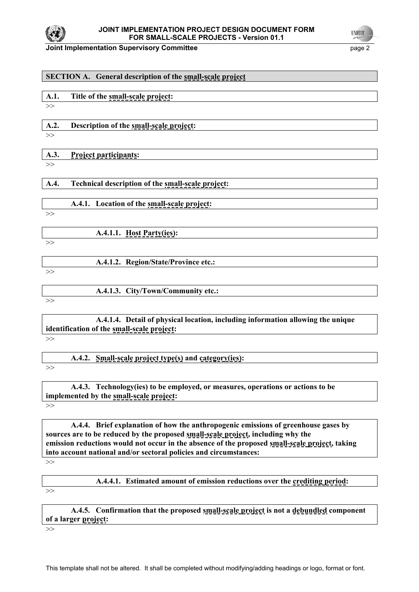

**UNFOOT** 

| <b>SECTION A.</b> General description of the small-scale project                                                                                                                   |  |  |
|------------------------------------------------------------------------------------------------------------------------------------------------------------------------------------|--|--|
|                                                                                                                                                                                    |  |  |
| A.1.<br>Title of the small-scale project:                                                                                                                                          |  |  |
| >>                                                                                                                                                                                 |  |  |
| A.2.                                                                                                                                                                               |  |  |
| Description of the small-scale project:<br>>>                                                                                                                                      |  |  |
|                                                                                                                                                                                    |  |  |
| A.3.<br><b>Project participants:</b>                                                                                                                                               |  |  |
| >>                                                                                                                                                                                 |  |  |
| Technical description of the small-scale project:<br>A.4.                                                                                                                          |  |  |
|                                                                                                                                                                                    |  |  |
| A.4.1. Location of the small-scale project:                                                                                                                                        |  |  |
| >>                                                                                                                                                                                 |  |  |
|                                                                                                                                                                                    |  |  |
| A.4.1.1. Host Party(ies):<br>>>                                                                                                                                                    |  |  |
|                                                                                                                                                                                    |  |  |
| A.4.1.2. Region/State/Province etc.:                                                                                                                                               |  |  |
| >>                                                                                                                                                                                 |  |  |
| A.4.1.3. City/Town/Community etc.:                                                                                                                                                 |  |  |
| >>                                                                                                                                                                                 |  |  |
|                                                                                                                                                                                    |  |  |
| A.4.1.4. Detail of physical location, including information allowing the unique                                                                                                    |  |  |
| identification of the small-scale project:                                                                                                                                         |  |  |
| >>                                                                                                                                                                                 |  |  |
| A.4.2.<br><b>Small-scale project type(s) and category(ies):</b>                                                                                                                    |  |  |
| >>                                                                                                                                                                                 |  |  |
|                                                                                                                                                                                    |  |  |
| A.4.3. Technology (ies) to be employed, or measures, operations or actions to be                                                                                                   |  |  |
| implemented by the small-scale project:<br>>>                                                                                                                                      |  |  |
|                                                                                                                                                                                    |  |  |
| A.4.4. Brief explanation of how the anthropogenic emissions of greenhouse gases by                                                                                                 |  |  |
| sources are to be reduced by the proposed small-scale project, including why the<br>emission reductions would not occur in the absence of the proposed small-scale project, taking |  |  |
| into account national and/or sectoral policies and circumstances:                                                                                                                  |  |  |
| >>                                                                                                                                                                                 |  |  |
|                                                                                                                                                                                    |  |  |
| A.4.4.1. Estimated amount of emission reductions over the crediting period:                                                                                                        |  |  |
| >>                                                                                                                                                                                 |  |  |
| A.4.5. Confirmation that the proposed small-scale project is not a debundled component                                                                                             |  |  |
| of a larger project:                                                                                                                                                               |  |  |

>>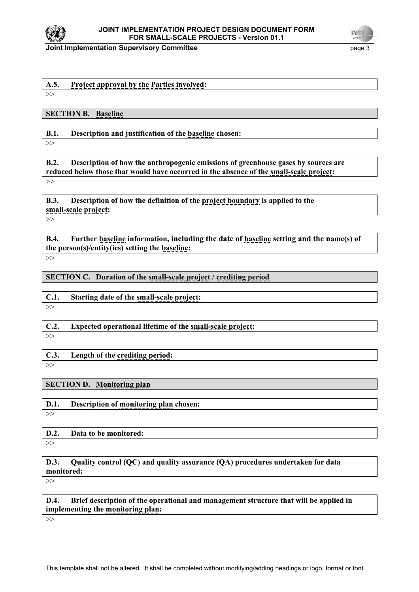

## **A.5. Project approval by the Parties involved:**

>>

**SECTION B. Baseline**

**B.1. Description and justification of the baseline chosen:** 

>>

**B.2. Description of how the anthropogenic emissions of greenhouse gases by sources are reduced below those that would have occurred in the absence of the small-scale project:** >>

**B.3. Description of how the definition of the project boundary is applied to the small-scale project:**

>>

**B.4. Further baseline information, including the date of baseline setting and the name(s) of the person(s)/entity(ies) setting the baseline:** 

>>

**SECTION C. Duration of the small-scale project / crediting period**

## **C.1. Starting date of the small-scale project:**

>>

**C.2. Expected operational lifetime of the small-scale project:**  >>

**C.3. Length of the crediting period:**

>>

## **SECTION D. Monitoring plan**

**D.1. Description of monitoring plan chosen:** >>

**D.2. Data to be monitored:**

 $\rightarrow$ 

**D.3. Quality control (QC) and quality assurance (QA) procedures undertaken for data monitored:**

>>

**D.4. Brief description of the operational and management structure that will be applied in implementing the monitoring plan:**

>>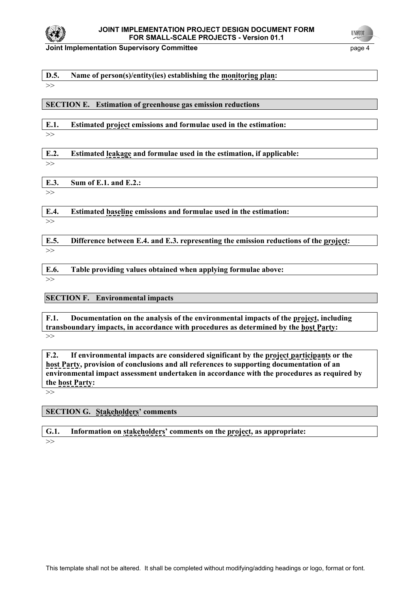

#### **D.5. Name of person(s)/entity(ies) establishing the monitoring plan:**

#### >>

**SECTION E. Estimation of greenhouse gas emission reductions** 

**E.1. Estimated project emissions and formulae used in the estimation:** 

 $\rightarrow$ 

**E.2. Estimated leakage and formulae used in the estimation, if applicable:** 

>>

**E.3. Sum of E.1. and E.2.:**   $\rightarrow$ 

**E.4. Estimated baseline emissions and formulae used in the estimation:**

>>

**E.5. Difference between E.4. and E.3. representing the emission reductions of the project:**  $\rightarrow$ 

**E.6. Table providing values obtained when applying formulae above:** 

>>

**SECTION F. Environmental impacts** 

**F.1. Documentation on the analysis of the environmental impacts of the project, including transboundary impacts, in accordance with procedures as determined by the host Party:**   $\rightarrow$ 

**F.2. If environmental impacts are considered significant by the project participants or the host Party, provision of conclusions and all references to supporting documentation of an environmental impact assessment undertaken in accordance with the procedures as required by the host Party:** 

>>

**SECTION G. Stakeholders' comments** 

**G.1. Information on stakeholders' comments on the project, as appropriate:** 

>>